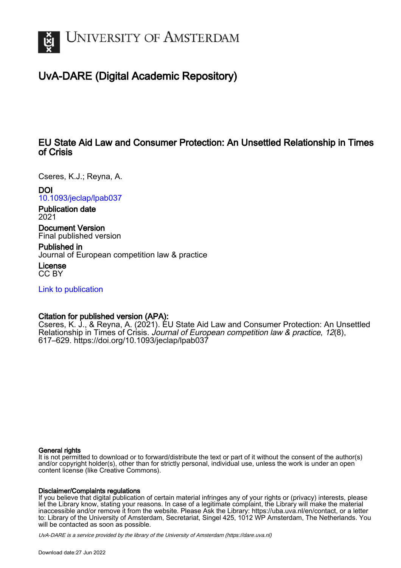

# UvA-DARE (Digital Academic Repository)

# EU State Aid Law and Consumer Protection: An Unsettled Relationship in Times of Crisis

Cseres, K.J.; Reyna, A.

# DOI

[10.1093/jeclap/lpab037](https://doi.org/10.1093/jeclap/lpab037)

Publication date 2021

Document Version

Final published version

Published in Journal of European competition law & practice

License CC BY

[Link to publication](https://dare.uva.nl/personal/pure/en/publications/eu-state-aid-law-and-consumer-protection-an-unsettled-relationship-in-times-of-crisis(504b6631-97cd-4d7e-8d6c-25a99f40c810).html)

# Citation for published version (APA):

Cseres, K. J., & Reyna, A. (2021). EU State Aid Law and Consumer Protection: An Unsettled Relationship in Times of Crisis. Journal of European competition law & practice, 12(8), 617–629. <https://doi.org/10.1093/jeclap/lpab037>

#### General rights

It is not permitted to download or to forward/distribute the text or part of it without the consent of the author(s) and/or copyright holder(s), other than for strictly personal, individual use, unless the work is under an open content license (like Creative Commons).

#### Disclaimer/Complaints regulations

If you believe that digital publication of certain material infringes any of your rights or (privacy) interests, please let the Library know, stating your reasons. In case of a legitimate complaint, the Library will make the material inaccessible and/or remove it from the website. Please Ask the Library: https://uba.uva.nl/en/contact, or a letter to: Library of the University of Amsterdam, Secretariat, Singel 425, 1012 WP Amsterdam, The Netherlands. You will be contacted as soon as possible.

UvA-DARE is a service provided by the library of the University of Amsterdam (http*s*://dare.uva.nl)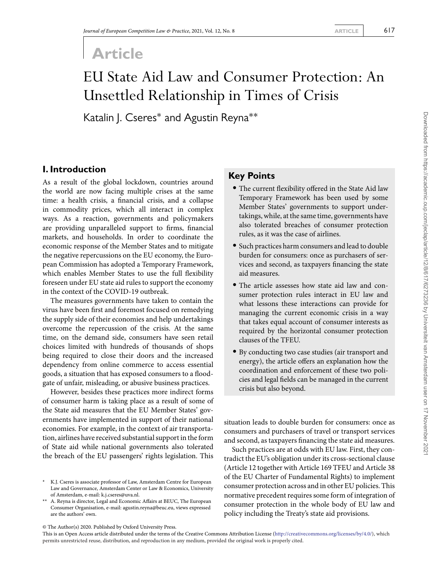# **Article**

# EU State Aid Law and Consumer Protection: An Unsettled Relationship in Times of Crisis

Katalin J. Cseres<sup>\*</sup> and Agustin Reyna<sup>\*\*</sup>

# **I. Introduction**

As a result of the global lockdown, countries around the world are now facing multiple crises at the same time: a health crisis, a financial crisis, and a collapse in commodity prices, which all interact in complex ways. As a reaction, governments and policymakers are providing unparalleled support to firms, financial markets, and households. In order to coordinate the economic response of the Member States and to mitigate the negative repercussions on the EU economy, the European Commission has adopted a Temporary Framework, which enables Member States to use the full flexibility foreseen under EU state aid rules to support the economy in the context of the COVID-19 outbreak.

The measures governments have taken to contain the virus have been first and foremost focused on remedying the supply side of their economies and help undertakings overcome the repercussion of the crisis. At the same time, on the demand side, consumers have seen retail choices limited with hundreds of thousands of shops being required to close their doors and the increased dependency from online commerce to access essential goods, a situation that has exposed consumers to a floodgate of unfair, misleading, or abusive business practices.

However, besides these practices more indirect forms of consumer harm is taking place as a result of some of the State aid measures that the EU Member States' governments have implemented in support of their national economies. For example, in the context of air transportation, airlines have received substantial support in the form of State aid while national governments also tolerated the breach of the EU passengers' rights legislation. This

## **Key Points**

- The current flexibility offered in the State Aid law Temporary Framework has been used by some Member States' governments to support undertakings, while, at the same time, governments have also tolerated breaches of consumer protection rules, as it was the case of airlines.
- Such practices harm consumers and lead to double burden for consumers: once as purchasers of services and second, as taxpayers financing the state aid measures.
- The article assesses how state aid law and consumer protection rules interact in EU law and what lessons these interactions can provide for managing the current economic crisis in a way that takes equal account of consumer interests as required by the horizontal consumer protection clauses of the TFEU.
- By conducting two case studies (air transport and energy), the article offers an explanation how the coordination and enforcement of these two policies and legal fields can be managed in the current crisis but also beyond.

situation leads to double burden for consumers: once as consumers and purchasers of travel or transport services and second, as taxpayers financing the state aid measures.

Such practices are at odds with EU law. First, they contradict the EU's obligation under its cross-sectional clause (Article 12 together with Article 169 TFEU and Article 38 of the EU Charter of Fundamental Rights) to implement consumer protection across and in other EU policies. This normative precedent requires some form of integration of consumer protection in the whole body of EU law and policy including the Treaty's state aid provisions.

<sup>\*</sup> K.J. Cseres is associate professor of Law, Amsterdam Centre for European Law and Governance, Amsterdam Center or Law & Economics, University of Amsterdam, e-mail: k.j.cseres@uva.nl.

<sup>\*\*</sup> A. Reyna is director, Legal and Economic Affairs at BEUC, The European Consumer Organisation, e-mail: agustin.reyna@beuc.eu, views expressed are the authors' own.

<sup>©</sup> The Author(s) 2020. Published by Oxford University Press.

This is an Open Access article distributed under the terms of the Creative Commons Attribution License [\(http://creativecommons.org/licenses/by/4.0/\)](http://creativecommons.org/licenses/by/4.0/), which permits unrestricted reuse, distribution, and reproduction in any medium, provided the original work is properly cited.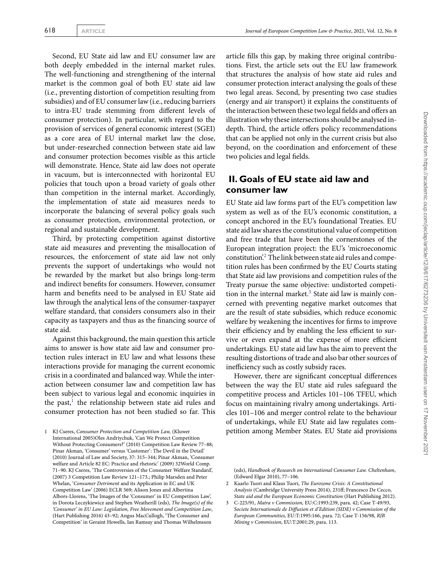Second, EU State aid law and EU consumer law are both deeply embedded in the internal market rules. The well-functioning and strengthening of the internal market is the common goal of both EU state aid law (i.e., preventing distortion of competition resulting from subsidies) and of EU consumer law (i.e., reducing barriers to intra-EU trade stemming from different levels of consumer protection). In particular, with regard to the provision of services of general economic interest (SGEI) as a core area of EU internal market law the close, but under-researched connection between state aid law and consumer protection becomes visible as this article will demonstrate. Hence, State aid law does not operate in vacuum, but is interconnected with horizontal EU policies that touch upon a broad variety of goals other than competition in the internal market. Accordingly, the implementation of state aid measures needs to incorporate the balancing of several policy goals such as consumer protection, environmental protection, or regional and sustainable development.

Third, by protecting competition against distortive state aid measures and preventing the misallocation of resources, the enforcement of state aid law not only prevents the support of undertakings who would not be rewarded by the market but also brings long-term and indirect benefits for consumers. However, consumer harm and benefits need to be analysed in EU State aid law through the analytical lens of the consumer-taxpayer welfare standard, that considers consumers also in their capacity as taxpayers and thus as the financing source of state aid.

Against this background, the main question this article aims to answer is how state aid law and consumer protection rules interact in EU law and what lessons these interactions provide for managing the current economic crisis in a coordinated and balanced way. While the interaction between consumer law and competition law has been subject to various legal and economic inquiries in the past, $<sup>1</sup>$  $<sup>1</sup>$  $<sup>1</sup>$  the relationship between state aid rules and</sup> consumer protection has not been studied so far. This

<span id="page-2-0"></span>1 KJ Cseres, *Consumer Protection and Competition Law,* (Kluwer International 2005)Oles Andriychuk, 'Can We Protect Competition Without Protecting Consumers?' (2010) Competition Law Review 77–88; Pinar Akman, 'Consumer' versus 'Customer': The Devil in the Detail' (2010) Journal of Law and Society, 37: 315–344; Pinar Akman, 'Consumer welfare and Article 82 EC: Practice and rhetoric' (2009) 32World Comp. 71–90. KJ Cseres, 'The Controversies of the Consumer Welfare Standard', (2007) 3 Competition Law Review 121–173.; Philip Marsden and Peter Whelan, '*Consumer Detriment* and its Application in EC and UK Competition Law' (2006) ECLR 569; Alison Jones and Albertina Albors-Llorens, 'The Images of the 'Consumer' in EU Competition Law', in Dorota Leczykiewicz and Stephen Weatherill (eds), *The Image(s) of the 'Consumer' in EU Law: Legislation, Free Movement and Competition Law*, (Hart Publishing 2016) 43–92; Angus MacCullogh, 'The Consumer and Competition' in Geraint Howells, Ian Ramsay and Thomas Wilhelmsson

article fills this gap, by making three original contributions. First, the article sets out the EU law framework that structures the analysis of how state aid rules and consumer protection interact analysing the goals of these two legal areas. Second, by presenting two case studies (energy and air transport) it explains the constituents of the interaction between these two legal fields and offers an illustration why these intersections should be analysed indepth. Third, the article offers policy recommendations that can be applied not only in the current crisis but also beyond, on the coordination and enforcement of these two policies and legal fields.

# **II. Goals of EU state aid law and consumer law**

EU State aid law forms part of the EU's competition law system as well as of the EU's economic constitution, a concept anchored in the EU's foundational Treaties. EU state aid law shares the constitutional value of competition and free trade that have been the cornerstones of the European integration project: the EU's 'microeconomic constitution.<sup>[2](#page-2-1)</sup> The link between state aid rules and competition rules has been confirmed by the EU Courts stating that State aid law provisions and competition rules of the Treaty pursue the same objective: undistorted competi-tion in the internal market.<sup>[3](#page-2-2)</sup> State aid law is mainly concerned with preventing negative market outcomes that are the result of state subsidies, which reduce economic welfare by weakening the incentives for firms to improve their efficiency and by enabling the less efficient to survive or even expand at the expense of more efficient undertakings. EU state aid law has the aim to prevent the resulting distortions of trade and also bar other sources of inefficiency such as costly subsidy races.

However, there are significant conceptual differences between the way the EU state aid rules safeguard the competitive process and Articles 101–106 TFEU, which focus on maintaining rivalry among undertakings. Articles 101–106 and merger control relate to the behaviour of undertakings, while EU State aid law regulates competition among Member States. EU State aid provisions

<sup>(</sup>eds), *Handbook of Research on International Consumer Law. Cheltenham*, (Edward Elgar 2010), 77–106.

<span id="page-2-1"></span><sup>2</sup> Kaarlo Tuori and Klaus Tuori, *The Eurozone Crisis: A Constitutional Analysis* (Cambridge University Press 2014), 231ff; Francesco De Cecco, *State aid and the European Economic Constitution* (Hart Publishing 2012).

<span id="page-2-2"></span><sup>3</sup> C-225/91, *Matra v Commission,* EU:C:1993:239, para. 42; Case T-49/93, *Societe Internationale de Diffusion et d'Edition (SIDE) v Commission of the European Communities,* EU:T:1995:166, para. 72; Case T-156/98, *RJB Mining v Commission*, EU:T:2001:29, para. 113.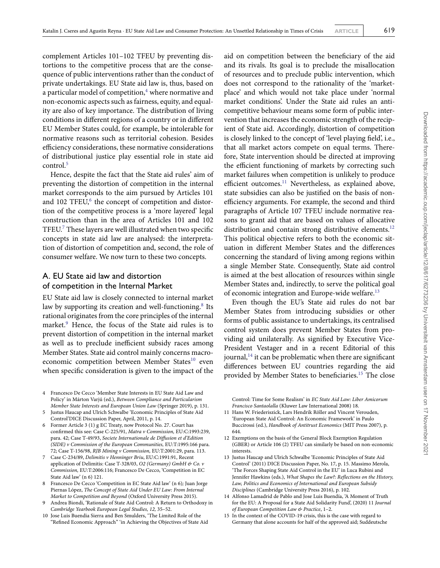complement Articles 101–102 TFEU by preventing distortions to the competitive process that are the consequence of public interventions rather than the conduct of private undertakings. EU State aid law is, thus, based on a particular model of competition, $4$  where normative and non-economic aspects such as fairness, equity, and equality are also of key importance. The distribution of living conditions in different regions of a country or in different EU Member States could, for example, be intolerable for normative reasons such as territorial cohesion. Besides efficiency considerations, these normative considerations of distributional justice play essential role in state aid control.<sup>[5](#page-3-1)</sup>

Hence, despite the fact that the State aid rules' aim of preventing the distortion of competition in the internal market corresponds to the aim pursued by Articles 101 and  $102$  TFEU, $^6$  $^6$  the concept of competition and distortion of the competitive process is a 'more layered' legal construction than in the area of Articles 101 and 102 TFEU.[7](#page-3-3) These layers are well illustrated when two specific concepts in state aid law are analysed: the interpretation of distortion of competition and, second, the role of consumer welfare. We now turn to these two concepts.

## A. EU State aid law and distortion of competition in the Internal Market

EU State aid law is closely connected to internal market law by supporting its creation and well-functioning.<sup>[8](#page-3-4)</sup> Its rational originates from the core principles of the internal market.<sup>[9](#page-3-5)</sup> Hence, the focus of the State aid rules is to prevent distortion of competition in the internal market as well as to preclude inefficient subsidy races among Member States. State aid control mainly concerns macro-economic competition between Member States<sup>[10](#page-3-6)</sup> even when specific consideration is given to the impact of the

- <span id="page-3-4"></span>8 Francesco De Cecco 'Competition in EC State Aid law' (n 6)*;* Juan Jorge Piernas López, *The Concept of State Aid Under EU Law: From Internal Market to Competition and Beyond* (Oxford University Press 2015).
- <span id="page-3-5"></span>9 Andrea Biondi, 'Rationale of State Aid Control: A Return to Orthodoxy in *Cambridge Yearbook European Legal Studies, 12,* 35–52.
- <span id="page-3-6"></span>10 Jose Luis Buendia Sierra and Ben Smulders, 'The Limited Role of the "Refined Economic Approach" 'in Achieving the Objectives of State Aid

aid on competition between the beneficiary of the aid and its rivals. Its goal is to preclude the misallocation of resources and to preclude public intervention, which does not correspond to the rationality of the 'marketplace' and which would not take place under 'normal market conditions'. Under the State aid rules an anticompetitive behaviour means some form of public intervention that increases the economic strength of the recipient of State aid. Accordingly, distortion of competition is closely linked to the concept of 'level playing field', i.e., that all market actors compete on equal terms. Therefore, State intervention should be directed at improving the efficient functioning of markets by correcting such market failures when competition is unlikely to produce efficient outcomes.<sup>[11](#page-3-7)</sup> Nevertheless, as explained above, state subsidies can also be justified on the basis of nonefficiency arguments. For example, the second and third paragraphs of Article 107 TFEU include normative reasons to grant aid that are based on values of allocative distribution and contain strong distributive elements.<sup>[12](#page-3-8)</sup> This political objective refers to both the economic situation in different Member States and the differences concerning the standard of living among regions within a single Member State. Consequently, State aid control is aimed at the best allocation of resources within single Member States and, indirectly, to serve the political goal of economic integration and Europe-wide welfare.<sup>[13](#page-3-9)</sup>

Even though the EU's State aid rules do not bar Member States from introducing subsidies or other forms of public assistance to undertakings, its centralised control system does prevent Member States from providing aid unilaterally. As signified by Executive Vice-President Vestager and in a recent Editorial of this journal, $14$  it can be problematic when there are significant differences between EU countries regarding the aid provided by Member States to beneficiaries.<sup>[15](#page-3-11)</sup> The close

Control: Time for Some Realism' in *EC State Aid Law: Liber Amicorum Francisco Santaolalla* (Kluwer Law International 2008) 18.

- <span id="page-3-7"></span>11 Hans W. Friederiszick, Lars Hendrik Röller and Vincent Verouden, 'European State Aid Control: An Economic Framework' in Paulo Buccirossi (ed.), *Handbook of Antitrust Economics* (MIT Press 2007), p. 644.
- <span id="page-3-8"></span>12 Exemptions on the basis of the General Block Exemption Regulation (GBER) or Article 106 (2) TFEU can similarly be based on non-economic interests.
- <span id="page-3-9"></span>13 Justus Haucap and Ulrich Schwalbe 'Economic Principles of State Aid Control' (2011) DICE Discussion Paper, No. 17, p. 15. Massimo Merola, 'The Forces Shaping State Aid Control in the EU' in Luca Rubini and Jennifer Hawkins (eds.), *What Shapes the Law?: Reflections on the History, Law, Politics and Economics of International and European Subsidy Disciplines* (Cambridge University Press 2016), p. 102.
- <span id="page-3-10"></span>14 Alfonso Lamadrid de Pablo and Jose Luis Buendía, 'A Moment of Truth for the EU: A Proposal for a State Aid Solidarity Fund', (2020) 11 *Journal of European Competition Law & Practice*, 1–2.
- <span id="page-3-11"></span>15 In the context of the COVID-19 crisis, this is the case with regard to Germany that alone accounts for half of the approved aid; Suddeutsche

<span id="page-3-0"></span><sup>4</sup> Francesco De Cecco 'Member State Interests in EU State Aid Law and Policy' in Márton Varjú (ed.), *Between Compliance and Particularism Member State Interests and European Union Law* (Springer 2019), p. 131.

<span id="page-3-1"></span><sup>5</sup> Justus Haucap and Ulrich Schwalbe 'Economic Principles of State Aid Control'DICE Discussion Paper, April, 2011, p. 14.

<span id="page-3-2"></span><sup>6</sup> Former Article 3 (1) g EC Treaty, now Protocol No. 27. Court has confirmed this see: Case C-225/91, *Matra v Commission,* EU:C:1993:239, para. 42; Case T-49/93, *Societe Internationale de Diffusion et d'Edition (SIDE) v Commission of the European Communities,* EU:T:1995:166 para. 72; Case T-156/98, *RJB Mining v Commission,* EU:T:2001:29, para. 113.

<span id="page-3-3"></span><sup>7</sup> Case C-234/89, *Delimitis v Henninger Briu*, EU:C:1991:91, Recent application of Delimitis: Case T-328/03, *O2 (Germany) GmbH & Co. v Commission,* EU:T:2006:116; Francesco De Cecco, 'Competition in EC State Aid law' (n 6) 121.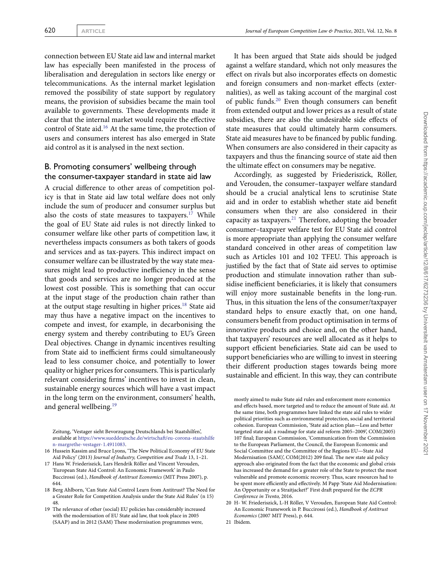connection between EU State aid law and internal market law has especially been manifested in the process of liberalisation and deregulation in sectors like energy or telecommunications. As the internal market legislation removed the possibility of state support by regulatory means, the provision of subsidies became the main tool available to governments. These developments made it clear that the internal market would require the effective control of State aid.[16](#page-4-0) At the same time, the protection of users and consumers interest has also emerged in State aid control as it is analysed in the next section.

#### B. Promoting consumers' wellbeing through the consumer-taxpayer standard in state aid law

A crucial difference to other areas of competition policy is that in State aid law total welfare does not only include the sum of producer and consumer surplus but also the costs of state measures to taxpayers.<sup>[17](#page-4-1)</sup> While the goal of EU State aid rules is not directly linked to consumer welfare like other parts of competition law, it nevertheless impacts consumers as both takers of goods and services and as tax-payers. This indirect impact on consumer welfare can be illustrated by the way state measures might lead to productive inefficiency in the sense that goods and services are no longer produced at the lowest cost possible. This is something that can occur at the input stage of the production chain rather than at the output stage resulting in higher prices. $18$  State aid may thus have a negative impact on the incentives to compete and invest, for example, in decarbonising the energy system and thereby contributing to EU's Green Deal objectives. Change in dynamic incentives resulting from State aid to inefficient firms could simultaneously lead to less consumer choice, and potentially to lower quality or higher prices for consumers. This is particularly relevant considering firms' incentives to invest in clean, sustainable energy sources which will have a vast impact in the long term on the environment, consumers' health, and general wellbeing.<sup>[19](#page-4-3)</sup>

Zeitung, 'Vestager sieht Bevorzugung Deutschlands bei Staatshilfen', available at [https://www.sueddeutsche.de/wirtschaft/eu-corona-staatshilfe](https://www.sueddeutsche.de/wirtschaft/eu-corona-staatshilfen-margrethe-vestager-1.4911083) [n-margrethe-vestager-1.4911083.](https://www.sueddeutsche.de/wirtschaft/eu-corona-staatshilfen-margrethe-vestager-1.4911083)

- <span id="page-4-0"></span>16 Hussein Kassim and Bruce Lyons, 'The New Political Economy of EU State Aid Policy' (2013) *Journal of Industry, Competition and Trade* 13, 1–21.
- <span id="page-4-1"></span>17 Hans W. Friederiszick, Lars Hendrik Röller and Vincent Verouden, 'European State Aid Control: An Economic Framework' in Paulo Buccirossi (ed.), *Handbook of Antitrust Economics* (MIT Press 2007), p. 644.
- <span id="page-4-2"></span>18 Berg Ahlborn, 'Can State Aid Control Learn from Antitrust? The Need for a Greater Role for Competition Analysis under the State Aid Rules' (n 15) 48.
- <span id="page-4-3"></span>19 The relevance of other (social) EU policies has considerably increased with the modernisation of EU State aid law, that took place in 2005 (SAAP) and in 2012 (SAM) These modernisation programmes were,

It has been argued that State aids should be judged against a welfare standard, which not only measures the effect on rivals but also incorporates effects on domestic and foreign consumers and non-market effects (externalities), as well as taking account of the marginal cost of public funds.[20](#page-4-4) Even though consumers can benefit from extended output and lower prices as a result of state subsidies, there are also the undesirable side effects of state measures that could ultimately harm consumers. State aid measures have to be financed by public funding. When consumers are also considered in their capacity as taxpayers and thus the financing source of state aid then the ultimate effect on consumers may be negative.

Accordingly, as suggested by Friederiszick, Röller, and Verouden, the consumer–taxpayer welfare standard should be a crucial analytical lens to scrutinise State aid and in order to establish whether state aid benefit consumers when they are also considered in their capacity as taxpayers. $^{21}$  $^{21}$  $^{21}$  Therefore, adopting the broader consumer–taxpayer welfare test for EU State aid control is more appropriate than applying the consumer welfare standard conceived in other areas of competition law such as Articles 101 and 102 TFEU. This approach is justified by the fact that of State aid serves to optimise production and stimulate innovation rather than subsidise inefficient beneficiaries, it is likely that consumers will enjoy more sustainable benefits in the long-run. Thus, in this situation the lens of the consumer/taxpayer standard helps to ensure exactly that, on one hand, consumers benefit from product optimisation in terms of innovative products and choice and, on the other hand, that taxpayers' resources are well allocated as it helps to support efficient beneficiaries. State aid can be used to support beneficiaries who are willing to invest in steering their different production stages towards being more sustainable and efficient. In this way, they can contribute

mostly aimed to make State aid rules and enforcement more economics and effects based, more targeted and to reduce the amount of State aid. At the same time, both programmes have linked the state aid rules to wider political priorities such as environmental protection, social and territorial cohesion. European Commission, 'State aid action plan—Less and better targeted state aid: a roadmap for state aid reform 2005–2009', COM(2005) 107 final; European Commission, 'Communication from the Commission to the European Parliament, the Council, the European Economic and Social Committee and the Committee of the Regions EU—State Aid Modernisation (SAM)', COM(2012) 209 final. The new state aid policy approach also originated from the fact that the economic and global crisis has increased the demand for a greater role of the State to protect the most vulnerable and promote economic recovery. Thus, scare resources had to be spent more efficiently and effectively. M Papp 'State Aid Modernisation: An Opportunity or a Straitjacket?' First draft prepared for the *ECPR Conference in Trento,* 2016.

<span id="page-4-5"></span>21 Ibidem.

<span id="page-4-4"></span><sup>20</sup> H- W. Friederiszick, L-H Röller, V Verouden, European State Aid Control: An Economic Framework in P. Buccirossi (ed.), *Handbook of Antitrust Economics* (2007 MIT Press), p. 644.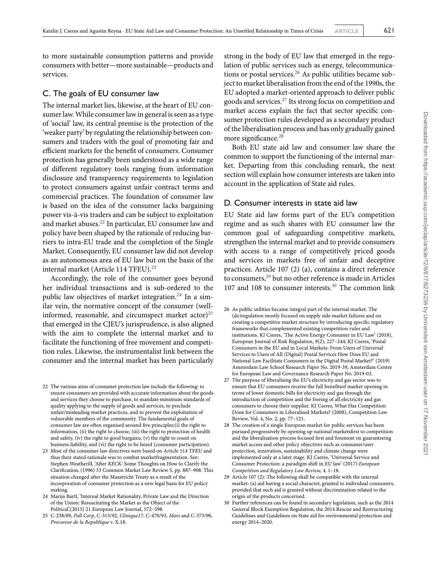to more sustainable consumption patterns and provide consumers with better—more sustainable—products and services.

#### C. The goals of EU consumer law

The internal market lies, likewise, at the heart of EU consumer law.While consumer law in general is seen as a type of 'social' law, its central premise is the protection of the 'weaker party' by regulating the relationship between consumers and traders with the goal of promoting fair and efficient markets for the benefit of consumers. Consumer protection has generally been understood as a wide range of different regulatory tools ranging from information disclosure and transparency requirements to legislation to protect consumers against unfair contract terms and commercial practices. The foundation of consumer law is based on the idea of the consumer lacks bargaining power vis-à-vis traders and can be subject to exploitation and market abuses.[22](#page-5-0) In particular, EU consumer law and policy have been shaped by the rationale of reducing barriers to intra-EU trade and the completion of the Single Market. Consequently, EU consumer law did not develop as an autonomous area of EU law but on the basis of the internal market (Article 114 TFEU).<sup>[23](#page-5-1)</sup>

Accordingly, the role of the consumer goes beyond her individual transactions and is sub-ordered to the public law objectives of market integration.<sup>[24](#page-5-2)</sup> In a similar vein, the normative concept of the consumer (well-informed, reasonable, and circumspect market actor)<sup>[25](#page-5-3)</sup> that emerged in the CJEU's jurisprudence, is also aligned with the aim to complete the internal market and to facilitate the functioning of free movement and competition rules. Likewise, the instrumentalist link between the consumer and the internal market has been particularly

- <span id="page-5-0"></span>22 The various aims of consumer protection law include the following: to ensure consumers are provided with accurate information about the goods and services they choose to purchase, to mandate minimum standards of quality applying to the supply of goods and services, to preclude unfair/misleading market practices, and to prevent the exploitation of vulnerable members of the community. The fundamental goals of consumer law are often organised around five principles:(i) the right to information, (ii) the right to choose, (iii) the right to protection of health and safety, (iv) the right to good bargains, (v) the right to count on business liability, and (vi) the right to be heard (consumer participation).
- <span id="page-5-1"></span>23 Most of the consumer law directives were based on Article 114 TFEU and thus their stated rationale was to combat marketfragmentation. See: Stephen Weatherill, 'After *KECK:* Some Thoughts on How to Clarify the Clarification, (1996) 33 Common Market Law Review 5, pp. 887–908. This situation changed after the Maastricht Treaty as a result of the incorporation of consumer protection as a new legal basis for EU policy making.
- <span id="page-5-2"></span>24 Marija Bartl, 'Internal Market Rationality, Private Law and the Direction of the Union: Resuscitating the Market as the Object of the Political',(2015) 21 European Law Journal, 572–598.
- <span id="page-5-3"></span>25 C-238/89, *Pall Corp*, C-315/92, *Clinique17*, C-470/93, *Mars* and C-373/90, *Procureur de la Republique* v. X.18.

strong in the body of EU law that emerged in the regulation of public services such as energy, telecommunications or postal services. $26$  As public utilities became subject to market liberalisation from the end of the 1990s, the EU adopted a market-oriented approach to deliver public goods and services.[27](#page-5-5) Its strong focus on competition and market access explain the fact that sector specific consumer protection rules developed as a secondary product of the liberalisation process and has only gradually gained more significance.<sup>[28](#page-5-6)</sup>

Both EU state aid law and consumer law share the common to support the functioning of the internal market. Departing from this concluding remark, the next section will explain how consumer interests are taken into account in the application of State aid rules.

#### D. Consumer interests in state aid law

EU State aid law forms part of the EU's competition regime and as such shares with EU consumer law the common goal of safeguarding competitive markets, strengthen the internal market and to provide consumers with access to a range of competitively priced goods and services in markets free of unfair and deceptive practices. Article 107 (2) (a), contains a direct reference to consumers,<sup>[29](#page-5-7)</sup> but no other reference is made in Articles 107 and 108 to consumer interests.[30](#page-5-8) The common link

- <span id="page-5-4"></span>26 As public utilities became integral part of the internal market. The (de)regulation mostly focused on supply side market failures and on creating a competitive market structure by introducing specific regulatory frameworks that complemented existing competition rules and institutions. KJ Cseres, 'The Active Energy Consumer in EU Law' (2018), European Journal of Risk Regulation, 9(2), 227–244; KJ Cseres, 'Postal Consumers in the EU and in Local Markets: From Users of Universal Services to Users of All (Digital) Postal Services How Does EU and National Law Facilitate Consumers in the Digital Postal Market?' (2019) Amsterdam Law School Research Paper No. 2019-39, Amsterdam Centre for European Law and Governance Research Paper No. 2019-02.
- <span id="page-5-5"></span>27 The purpose of liberalising the EU's electricity and gas sector was to ensure that EU consumers receive the full benefitsof market opening in terms of lower domestic bills for electricity and gas through the introduction of competition and the freeing of all electricity and gas consumers to choose their supplier. KJ Cseres, What Has Competition Done for Consumers in Liberalised Markets? (2008), Competition Law Review, Vol. 4, No. 2, pp. 77–121.
- <span id="page-5-6"></span>28 The creation of a single European market for public services has been pursued progressively by opening up national marketsfirst to competition and the liberalisation process focused first and foremost on guaranteeing market access and other policy objectives such as consumer/user protection, innovation, sustainability and climate change were implemented only at a later stage. KJ Cseres, 'Universal Service and Consumer Protection: a paradigm shift in EU law' (2017) *European Competition and Regulatory Law Review, 4,* 1–18.
- <span id="page-5-7"></span>29 Article 107 (2): The following shall be compatible with the internal market: (a) aid having a social character, granted to individual consumers, provided that such aid is granted without discrimination related to the origin of the products concerned.
- <span id="page-5-8"></span>30 Further references can be found in secondary legislation, such as the 2014 General Block Exemption Regulation, the 2014 Rescue and Restructuring Guidelines and Guidelines on State aid for environmental protection and energy 2014–2020.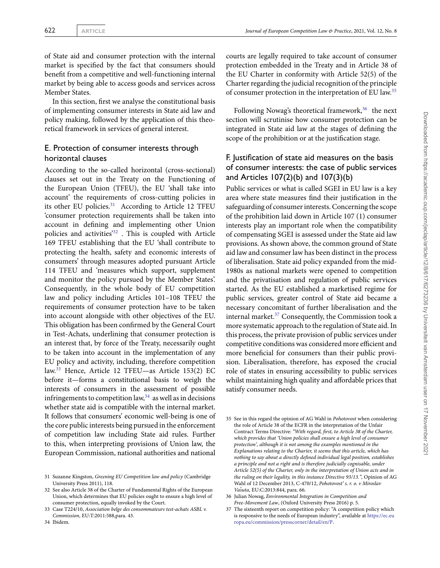of State aid and consumer protection with the internal market is specified by the fact that consumers should benefit from a competitive and well-functioning internal market by being able to access goods and services across Member States.

In this section, first we analyse the constitutional basis of implementing consumer interests in State aid law and policy making, followed by the application of this theoretical framework in services of general interest.

#### E. Protection of consumer interests through horizontal clauses

According to the so-called horizontal (cross-sectional) clauses set out in the Treaty on the Functioning of the European Union (TFEU), the EU 'shall take into account' the requirements of cross-cutting policies in its other EU policies.<sup>[31](#page-6-0)</sup> According to Article 12 TFEU 'consumer protection requirements shall be taken into account in defining and implementing other Union policies and activities'[32](#page-6-1) . This is coupled with Article 169 TFEU establishing that the EU 'shall contribute to protecting the health, safety and economic interests of consumers' through measures adopted pursuant Article 114 TFEU and 'measures which support, supplement and monitor the policy pursued by the Member States'. Consequently, in the whole body of EU competition law and policy including Articles 101–108 TFEU the requirements of consumer protection have to be taken into account alongside with other objectives of the EU. This obligation has been confirmed by the General Court in Test-Achats, underlining that consumer protection is an interest that, by force of the Treaty, necessarily ought to be taken into account in the implementation of any EU policy and activity, including, therefore competition law.[33](#page-6-2) Hence, Article 12 TFEU—as Article 153(2) EC before it—forms a constitutional basis to weigh the interests of consumers in the assessment of possible infringements to competition law,  $34$  as well as in decisions whether state aid is compatible with the internal market. It follows that consumers' economic well-being is one of the core public interests being pursued in the enforcement of competition law including State aid rules. Further to this, when interpreting provisions of Union law, the European Commission, national authorities and national

courts are legally required to take account of consumer protection embedded in the Treaty and in Article 38 of the EU Charter in conformity with Article 52(5) of the Charter regarding the judicial recognition of the principle of consumer protection in the interpretation of EU law.[35](#page-6-4)

Following Nowag's theoretical framework,<sup>[36](#page-6-5)</sup> the next section will scrutinise how consumer protection can be integrated in State aid law at the stages of defining the scope of the prohibition or at the justification stage.

## F. Justification of state aid measures on the basis of consumer interests: the case of public services and Articles 107(2)(b) and 107(3)(b)

Public services or what is called SGEI in EU law is a key area where state measures find their justification in the safeguarding of consumer interests. Concerning the scope of the prohibition laid down in Article 107 (1) consumer interests play an important role when the compatibility of compensating SGEI is assessed under the State aid law provisions. As shown above, the common ground of State aid law and consumer law has been distinct in the process of liberalisation. State aid policy expanded from the mid-1980s as national markets were opened to competition and the privatisation and regulation of public services started. As the EU established a marketised regime for public services, greater control of State aid became a necessary concomitant of further liberalisation and the internal market.[37](#page-6-6) Consequently, the Commission took a more systematic approach to the regulation of State aid. In this process, the private provision of public services under competitive conditions was considered more efficient and more beneficial for consumers than their public provision. Liberalisation, therefore, has exposed the crucial role of states in ensuring accessibility to public services whilst maintaining high quality and affordable prices that satisfy consumer needs.

<span id="page-6-0"></span><sup>31</sup> Suzanne Kingston, *Greening EU Competition law and policy* (Cambridge University Press 2011), 118.

<span id="page-6-1"></span><sup>32</sup> See also Article 38 of the Charter of Fundamental Rights of the European Union, which determines that EU policies ought to ensure a high level of consumer protection, equally invoked by the Court.

<span id="page-6-3"></span><span id="page-6-2"></span><sup>33</sup> Case T224/10, *Association belge des consommateurs test-achats ASBL v. Commission*, EU:T:2011:588,para. 43.

<span id="page-6-4"></span><sup>35</sup> See in this regard the opinion of AG Wahl in *Pohotovost* when considering the role of Article 38 of the ECFR in the interpretation of the Unfair Contract Terms Directive: *"With regard, first, to Article 38 of the Charter, which provides that 'Union policies shall ensure a high level of consumer protection', although it is not among the examples mentioned in the Explanations relating to the Charter, it seems that this article, which has nothing to say about a directly defined individual legal position, establishes a principle and not a right and is therefore judicially cognisable, under Article 52(5) of the Charter, only in the interpretation of Union acts and in the ruling on their legality, in this instance Directive 93/13.",* Opinion of AG Wahl of 12 December 2013, C-470/12, *Pohotovost' s. r. o. v Miroslav* Vašuta, EU:C:2013:844, para. 66.

<span id="page-6-5"></span><sup>36</sup> Julian Nowag, *Environmental Integration in Competition and Free-Movement Law*, (Oxford University Press 2016) p. 5.

<span id="page-6-6"></span><sup>37</sup> The sixteenth report on competition policy: "A competition policy which is responsive to the needs of European industry", available at [https://ec.eu](https://ec.europa.eu/commission/presscorner/detail/en/P) [ropa.eu/commission/presscorner/detail/en/P.](https://ec.europa.eu/commission/presscorner/detail/en/P)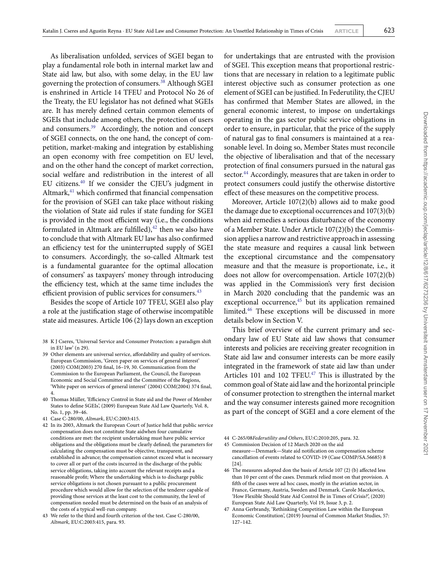As liberalisation unfolded, services of SGEI began to play a fundamental role both in internal market law and State aid law, but also, with some delay, in the EU law governing the protection of consumers.<sup>[38](#page-7-0)</sup> Although SGEI is enshrined in Article 14 TFEU and Protocol No 26 of the Treaty, the EU legislator has not defined what SGEIs are. It has merely defined certain common elements of SGEIs that include among others, the protection of users and consumers.[39](#page-7-1) Accordingly, the notion and concept of SGEI connects, on the one hand, the concept of competition, market-making and integration by establishing an open economy with free competition on EU level, and on the other hand the concept of market correction, social welfare and redistribution in the interest of all EU citizens.[40](#page-7-2) If we consider the CJEU's judgment in Altmark, $41$  which confirmed that financial compensation for the provision of SGEI can take place without risking the violation of State aid rules if state funding for SGEI is provided in the most efficient way (i.e., the conditions formulated in Altmark are fulfilled), $42$  then we also have to conclude that with Altmark EU law has also confirmed an efficiency test for the uninterrupted supply of SGEI to consumers. Accordingly, the so-called Altmark test is a fundamental guarantee for the optimal allocation of consumers' as taxpayers' money through introducing the efficiency test, which at the same time includes the efficient provision of public services for consumers.<sup>[43](#page-7-5)</sup>

Besides the scope of Article 107 TFEU, SGEI also play a role at the justification stage of otherwise incompatible state aid measures. Article 106 (2) lays down an exception

for undertakings that are entrusted with the provision of SGEI. This exception means that proportional restrictions that are necessary in relation to a legitimate public interest objective such as consumer protection as one element of SGEI can be justified. In Federutility, the CJEU has confirmed that Member States are allowed, in the general economic interest, to impose on undertakings operating in the gas sector public service obligations in order to ensure, in particular, that the price of the supply of natural gas to final consumers is maintained at a reasonable level. In doing so, Member States must reconcile the objective of liberalisation and that of the necessary protection of final consumers pursued in the natural gas sector.<sup>[44](#page-7-6)</sup> Accordingly, measures that are taken in order to protect consumers could justify the otherwise distortive effect of these measures on the competitive process.

Moreover, Article 107(2)(b) allows aid to make good the damage due to exceptional occurrences and 107(3)(b) when aid remedies a serious disturbance of the economy of a Member State. Under Article 107(2)(b) the Commission applies a narrow and restrictive approach in assessing the state measure and requires a causal link between the exceptional circumstance and the compensatory measure and that the measure is proportionate, i.e., it does not allow for overcompensation. Article 107(2)(b) was applied in the Commission's very first decision in March 2020 concluding that the pandemic was an exceptional occurrence,<sup>[45](#page-7-7)</sup> but its application remained limited.[46](#page-7-8) These exceptions will be discussed in more details below in Section V.

This brief overview of the current primary and secondary law of EU State aid law shows that consumer interests and policies are receiving greater recognition in State aid law and consumer interests can be more easily integrated in the framework of state aid law than under Articles 101 and 102 TFEU. $47$  This is illustrated by the common goal of State aid law and the horizontal principle of consumer protection to strengthen the internal market and the way consumer interests gained more recognition as part of the concept of SGEI and a core element of the

44 C-265/08*Federutility and Others*, EU:C:2010:205, para. 32.

<span id="page-7-0"></span><sup>38</sup> K J Cseres, 'Universal Service and Consumer Protection: a paradigm shift in EU law' (n 29).

<span id="page-7-1"></span><sup>39</sup> Other elements are universal service, affordability and quality of services. European Commission, 'Green paper on services of general interest' (2003) COM(2003) 270 final, 16–19, 30. Communication from the Commission to the European Parliament, the Council, the European Economic and Social Committee and the Committee of the Regions, 'White paper on services of general interest' (2004) COM(2004) 374 final, 4.

<span id="page-7-2"></span><sup>40</sup> Thomas Müller, 'Efficiency Control in State aid and the Power of Member States to define SGEIs', (2009) European State Aid Law Quarterly, Vol. 8, No. 1, pp. 39–46.

<sup>41</sup> Case C-280/00, *Altmark*, EU:C:2003:415.

<span id="page-7-4"></span><span id="page-7-3"></span><sup>42</sup> In its 2003, Altmark the European Court of Justice held that public service compensation does not constitute State aidwhen four cumulative conditions are met: the recipient undertaking must have public service obligations and the obligations must be clearly defined; the parameters for calculating the compensation must be objective, transparent, and established in advance; the compensation cannot exceed what is necessary to cover all or part of the costs incurred in the discharge of the public service obligations, taking into account the relevant receipts and a reasonable profit; Where the undertaking which is to discharge public service obligations is not chosen pursuant to a public procurement procedure which would allow for the selection of the tenderer capable of providing those services at the least cost to the community, the level of compensation needed must be determined on the basis of an analysis of the costs of a typical well-run company.

<span id="page-7-5"></span><sup>43</sup> We refer to the third and fourth criterion of the test. Case C-280/00, *Altmark,* EU:C:2003:415, para. 93.

<span id="page-7-7"></span><span id="page-7-6"></span><sup>45</sup> Commission Decision of 12 March 2020 on the aid measure—Denmark—State aid notification on compensation scheme cancellation of events related to COVID-19 (Case COMP/SA.56685) 8 [24].

<span id="page-7-8"></span><sup>46</sup> The measures adopted don the basis of Article 107 (2) (b) affected less than 10 per cent of the cases. Denmark relied most on that provision. A fifth of the cases were ad hoc cases, mostly in the aviation sector, in France, Germany, Austria, Sweden and Denmark. Carole Maczkovics, 'How Flexible Should State Aid Control Be in Times of Crisis?', (2020) European State Aid Law Quarterly, Vol 19, Issue 3, p. 2.

<span id="page-7-9"></span><sup>47</sup> Anna Gerbrandy, 'Rethinking Competition Law within the European Economic Constitution', (2019) Journal of Common Market Studies, 57: 127–142.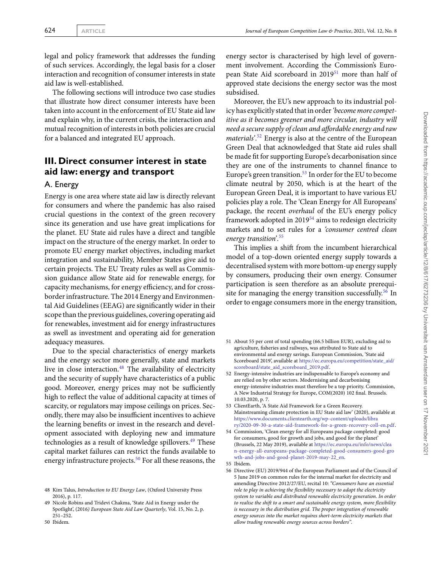legal and policy framework that addresses the funding of such services. Accordingly, the legal basis for a closer interaction and recognition of consumer interests in state aid law is well-established.

The following sections will introduce two case studies that illustrate how direct consumer interests have been taken into account in the enforcement of EU State aid law and explain why, in the current crisis, the interaction and mutual recognition of interests in both policies are crucial for a balanced and integrated EU approach.

# **III. Direct consumer interest in state aid law: energy and transport**

#### A. Energy

Energy is one area where state aid law is directly relevant for consumers and where the pandemic has also raised crucial questions in the context of the green recovery since its generation and use have great implications for the planet. EU State aid rules have a direct and tangible impact on the structure of the energy market. In order to promote EU energy market objectives, including market integration and sustainability, Member States give aid to certain projects. The EU Treaty rules as well as Commission guidance allow State aid for renewable energy, for capacity mechanisms, for energy efficiency, and for crossborder infrastructure. The 2014 Energy and Environmental Aid Guidelines (EEAG) are significantly wider in their scope than the previous guidelines, covering operating aid for renewables, investment aid for energy infrastructures as swell as investment and operating aid for generation adequacy measures.

Due to the special characteristics of energy markets and the energy sector more generally, state and markets live in close interaction.<sup>[48](#page-8-0)</sup> The availability of electricity and the security of supply have characteristics of a public good. Moreover, energy prices may not be sufficiently high to reflect the value of additional capacity at times of scarcity, or regulators may impose ceilings on prices. Secondly, there may also be insufficient incentives to achieve the learning benefits or invest in the research and development associated with deploying new and immature technologies as a result of knowledge spillovers.<sup>[49](#page-8-1)</sup> These capital market failures can restrict the funds available to energy infrastructure projects.<sup>[50](#page-8-2)</sup> For all these reasons, the

energy sector is characterised by high level of government involvement. According the Commission's Euro-pean State Aid scoreboard in 2019<sup>[51](#page-8-3)</sup> more than half of approved state decisions the energy sector was the most subsidised.

Moreover, the EU's new approach to its industrial policy has explicitly stated that in order*'become more competitive as it becomes greener and more circular, industry will need a secure supply of clean and affordable energy and raw materials'*. [52](#page-8-4) Energy is also at the centre of the European Green Deal that acknowledged that State aid rules shall be made fit for supporting Europe's decarbonisation since they are one of the instruments to channel finance to Europe's green transition.<sup>[53](#page-8-5)</sup> In order for the EU to become climate neutral by 2050, which is at the heart of the European Green Deal, it is important to have various EU policies play a role. The 'Clean Energy for All Europeans' package, the recent *overhaul* of the EU's energy policy framework adopted in  $2019^{54}$  $2019^{54}$  $2019^{54}$  aims to redesign electricity markets and to set rules for a *'consumer centred clean energy transition'*. [55](#page-8-7)

This implies a shift from the incumbent hierarchical model of a top-down oriented energy supply towards a decentralised system with more bottom-up energy supply by consumers, producing their own energy. Consumer participation is seen therefore as an absolute prerequi-site for managing the energy transition successfully.<sup>[56](#page-8-8)</sup> In order to engage consumers more in the energy transition,

<span id="page-8-3"></span>51 About 55 per cent of total spending (66.5 billion EUR), excluding aid to agriculture, fisheries and railways, was attributed to State aid to environmental and energy savings. European Commission, 'State aid Scoreboard 2019', available at [https://ec.europa.eu/competition/state\\_aid/](https://ec.europa.eu/competition/state_aid/scoreboard/state_aid_scoreboard_2019.pdf) [scoreboard/state\\_aid\\_scoreboard\\_2019.pdf.](https://ec.europa.eu/competition/state_aid/scoreboard/state_aid_scoreboard_2019.pdf)

- <span id="page-8-5"></span>53 ClientEarth, 'A State Aid Framework for a Green Recovery. Mainstreaming climate protection in EU State aid law' (2020), available at [https://www.documents.clientearth.org/wp-content/uploads/libra](https://www.documents.clientearth.org/wp-content/uploads/library/2020-09-30-a-state-aid-framework-for-a-green-recovery-coll-en.pdf) [ry/2020-09-30-a-state-aid-framework-for-a-green-recovery-coll-en.pdf.](https://www.documents.clientearth.org/wp-content/uploads/library/2020-09-30-a-state-aid-framework-for-a-green-recovery-coll-en.pdf)
- <span id="page-8-6"></span>54 Commission, 'Clean energy for all Europeans package completed: good for consumers, good for growth and jobs, and good for the planet' (Brussels, 22 May 2019), available at [https://ec.europa.eu/info/news/clea](https://ec.europa.eu/info/news/clean-energy-all-europeans-package-completed-good-consumers-good-growth-and-jobs-and-good-planet-2019-may-22_en) [n-energy-all-europeans-package-completed-good-consumers-good-gro](https://ec.europa.eu/info/news/clean-energy-all-europeans-package-completed-good-consumers-good-growth-and-jobs-and-good-planet-2019-may-22_en) [wth-and-jobs-and-good-planet-2019-may-22\\_en.](https://ec.europa.eu/info/news/clean-energy-all-europeans-package-completed-good-consumers-good-growth-and-jobs-and-good-planet-2019-may-22_en)

<span id="page-8-0"></span><sup>48</sup> Kim Talus, *Introduction to EU Energy Law*, (Oxford University Press 2016), p. 117.

<span id="page-8-1"></span><sup>49</sup> Nicole Robins and Tridevi Chakma, 'State Aid in Energy under the Spotlight', (2016*) European State Aid Law Quarterly*, Vol. 15, No. 2, p. 251–252.

<span id="page-8-2"></span><sup>50</sup> Ibidem*.*

<span id="page-8-4"></span><sup>52</sup> Energy-intensive industries are indispensable to Europe's economy and are relied on by other sectors. Modernising and decarbonising energy-intensive industries must therefore be a top priority. Commission, A New Industrial Strategy for Europe, COM(2020) 102 final. Brussels. 10.03.2020, p. 7.

<sup>55</sup> Ibidem.

<span id="page-8-8"></span><span id="page-8-7"></span><sup>56</sup> Directive (EU) 2019/944 of the European Parliament and of the Council of 5 June 2019 on common rules for the internal market for electricity and amending Directive 2012/27/EU, recital 10: *"Consumers have an essential role to play in achieving the flexibility necessary to adapt the electricity system to variable and distributed renewable electricity generation. In order to realise the shift to a smart and sustainable energy system, more flexibility is necessary in the distribution grid. The proper integration of renewable energy sources into the market requires short-term electricity markets that allow trading renewable energy sources across borders".*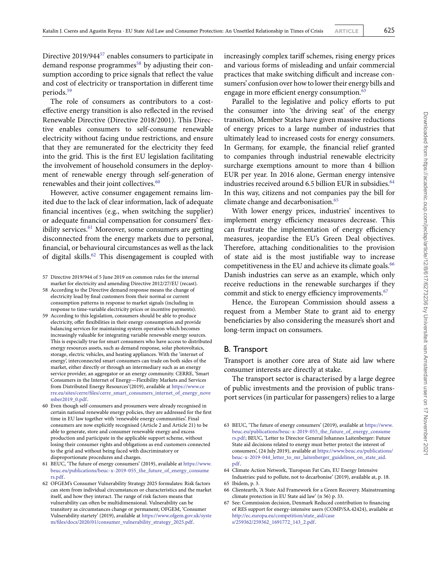Directive 2019/944[57](#page-9-0) enables consumers to participate in demand response programmes<sup>[58](#page-9-1)</sup> by adjusting their consumption according to price signals that reflect the value and cost of electricity or transportation in different time periods.[59](#page-9-2)

The role of consumers as contributors to a costeffective energy transition is also reflected in the revised Renewable Directive (Directive 2018/2001). This Directive enables consumers to self-consume renewable electricity without facing undue restrictions, and ensure that they are remunerated for the electricity they feed into the grid. This is the first EU legislation facilitating the involvement of household consumers in the deployment of renewable energy through self-generation of renewables and their joint collectives.<sup>[60](#page-9-3)</sup>

However, active consumer engagement remains limited due to the lack of clear information, lack of adequate financial incentives (e.g., when switching the supplier) or adequate financial compensation for consumers' flex-ibility services.<sup>[61](#page-9-4)</sup> Moreover, some consumers are getting disconnected from the energy markets due to personal, financial, or behavioural circumstances as well as the lack of digital skills.<sup>[62](#page-9-5)</sup> This disengagement is coupled with

- <span id="page-9-1"></span>58 According to the Directive demand response means the change of electricity load by final customers from their normal or current consumption patterns in response to market signals (including in response to time-variable electricity prices or incentive payments).
- <span id="page-9-2"></span>59 According to this legislation, consumers should be able to produce electricity, offer flexibilities in their energy consumption and provide balancing services for maintaining system operation which becomes increasingly valuable for integrating variable renewable energy sources. This is especially true for smart consumers who have access to distributed energy resources assets, such as demand response, solar photovoltaics, storage, electric vehicles, and heating appliances. With the 'internet of energy', interconnected smart consumers can trade on both sides of the market, either directly or through an intermediary such as an energy service provider, an aggregator or an energy community. CERRE, 'Smart Consumers in the Internet of Energy—Flexibility Markets and Services from Distributed Energy Resources'(2019), available at [https://www.ce](https://www.cerre.eu/sites/cerre/files/cerre_smart_consumers_internet_of_energy_november2019_0.pdf) [rre.eu/sites/cerre/files/cerre\\_smart\\_consumers\\_internet\\_of\\_energy\\_nove](https://www.cerre.eu/sites/cerre/files/cerre_smart_consumers_internet_of_energy_november2019_0.pdf) [mber2019\\_0.pdf.](https://www.cerre.eu/sites/cerre/files/cerre_smart_consumers_internet_of_energy_november2019_0.pdf)
- <span id="page-9-3"></span>60 Even though self-consumers and prosumers were already recognised in certain national renewable energy policies, they are addressed for the first time in EU law together with 'renewable energy communities'. Final consumers are now explicitly recognised (Article 2 and Article 21) to be able to generate, store and consumer renewable energy and excess production and participate in the applicable support scheme, without losing their consumer rights and obligations as end customers connected to the grid and without being faced with discriminatory or disproportionate procedures and charges.
- <span id="page-9-4"></span>61 BEUC, 'The future of energy consumers' (2019), available at [https://www.](https://www.beuc.eu/publications/beuc-x-2019-055_the_future_of_energy_consumers.pdf) [beuc.eu/publications/beuc-x-2019-055\\_the\\_future\\_of\\_energy\\_consume](https://www.beuc.eu/publications/beuc-x-2019-055_the_future_of_energy_consumers.pdf) [rs.pdf.](https://www.beuc.eu/publications/beuc-x-2019-055_the_future_of_energy_consumers.pdf)
- <span id="page-9-5"></span>62 OFGEM's Consumer Vulnerability Strategy 2025 formulates: Risk factors can stem from individual circumstances or characteristics and the market itself, and how they interact. The range of risk factors means that vulnerability can often be multidimensional. Vulnerability can be transitory as circumstances change or permanent; OFGEM, 'Consumer Vulnerability startety' (2019), available at [https://www.ofgem.gov.uk/syste](https://www.ofgem.gov.uk/system/files/docs/2020/01/consumer_vulnerability_strategy_2025.pdf) [m/files/docs/2020/01/consumer\\_vulnerability\\_strategy\\_2025.pdf.](https://www.ofgem.gov.uk/system/files/docs/2020/01/consumer_vulnerability_strategy_2025.pdf)

increasingly complex tariff schemes, rising energy prices and various forms of misleading and unfair commercial practices that make switching difficult and increase consumers' confusion over how to lower their energy bills and engage in more efficient energy consumption.<sup>[63](#page-9-6)</sup>

Parallel to the legislative and policy efforts to put the consumer into 'the driving seat' of the energy transition, Member States have given massive reductions of energy prices to a large number of industries that ultimately lead to increased costs for energy consumers. In Germany, for example, the financial relief granted to companies through industrial renewable electricity surcharge exemptions amount to more than 4 billion EUR per year. In 2016 alone, German energy intensive industries received around 6.5 billion EUR in subsidies.<sup>[64](#page-9-7)</sup> In this way, citizens and not companies pay the bill for climate change and decarbonisation.<sup>[65](#page-9-8)</sup>

With lower energy prices, industries' incentives to implement energy efficiency measures decrease. This can frustrate the implementation of energy efficiency measures, jeopardise the EU's Green Deal objectives. Therefore, attaching conditionalities to the provision of state aid is the most justifiable way to increase competitiveness in the EU and achieve its climate goals.<sup>[66](#page-9-9)</sup> Danish industries can serve as an example, which only receive reductions in the renewable surcharges if they commit and stick to energy efficiency improvements.<sup>[67](#page-9-10)</sup>

Hence, the European Commission should assess a request from a Member State to grant aid to energy beneficiaries by also considering the measure's short and long-term impact on consumers.

#### B. Transport

Transport is another core area of State aid law where consumer interests are directly at stake.

The transport sector is characterised by a large degree of public investments and the provision of public transport services (in particular for passengers) relies to a large

- <span id="page-9-7"></span>64 Climate Action Network, 'European Fat Cats, EU Energy Intensive Industries: paid to pollute, not to decarbonise' (2019), available at, p. 18. 65 Ibidem, p. 3.
- <span id="page-9-9"></span><span id="page-9-8"></span>66 Clientearth, 'A State Aid Framework for a Green Recovery. Mainstreaming climate protection in EU State aid law' (n 56) p. 33.

<span id="page-9-0"></span><sup>57</sup> Directive 2019/944 of 5 June 2019 on common rules for the internal market for electricity and amending Directive 2012/27/EU (recast).

<span id="page-9-6"></span><sup>63</sup> BEUC, 'The future of energy consumers' (2019), available at [https://www.](https://www.beuc.eu/publications/beuc-x-2019-055_the_future_of_energy_consumers.pdf) [beuc.eu/publications/beuc-x-2019-055\\_the\\_future\\_of\\_energy\\_consume](https://www.beuc.eu/publications/beuc-x-2019-055_the_future_of_energy_consumers.pdf) [rs.pdf;](https://www.beuc.eu/publications/beuc-x-2019-055_the_future_of_energy_consumers.pdf) BEUC, 'Letter to Director General Johannes Laitenberger: Future State aid decisions related to energy must better protect the interest of consumers', (24 July 2019), available at [https://www.beuc.eu/publications/](https://www.beuc.eu/publications/beuc-x-2019-044_letter_to_mr_laitenberger_guidelines_on_state_aid.pdf) [beuc-x-2019-044\\_letter\\_to\\_mr\\_laitenberger\\_guidelines\\_on\\_state\\_aid.](https://www.beuc.eu/publications/beuc-x-2019-044_letter_to_mr_laitenberger_guidelines_on_state_aid.pdf) [pdf.](https://www.beuc.eu/publications/beuc-x-2019-044_letter_to_mr_laitenberger_guidelines_on_state_aid.pdf)

<span id="page-9-10"></span><sup>67</sup> See: Commission decision, Denmark Reduced contribution to financing of RES support for energy-intensive users (COMP/SA.42424), available at [http://ec.europa.eu/competition/state\\_aid/case](http://ec.europa.eu/competition/state_aid/cases/259362/259362_1691772_143_2.pdf) [s/259362/259362\\_1691772\\_143\\_2.pdf.](http://ec.europa.eu/competition/state_aid/cases/259362/259362_1691772_143_2.pdf)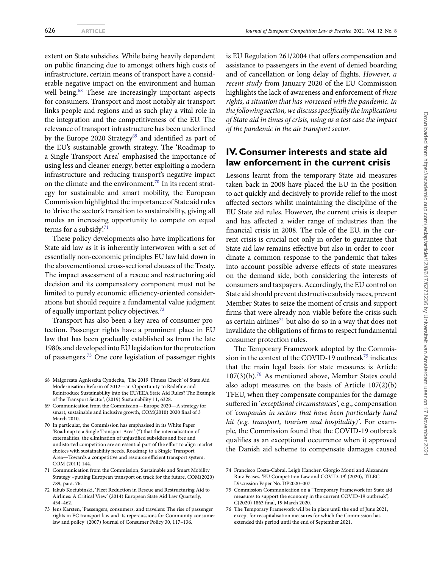extent on State subsidies. While being heavily dependent on public financing due to amongst others high costs of infrastructure, certain means of transport have a considerable negative impact on the environment and human well-being.<sup>[68](#page-10-0)</sup> These are increasingly important aspects for consumers. Transport and most notably air transport links people and regions and as such play a vital role in the integration and the competitiveness of the EU. The relevance of transport infrastructure has been underlined by the Europe 2020 Strategy<sup>[69](#page-10-1)</sup> and identified as part of the EU's sustainable growth strategy. The 'Roadmap to a Single Transport Area' emphasised the importance of using less and cleaner energy, better exploiting a modern infrastructure and reducing transport's negative impact on the climate and the environment.<sup>[70](#page-10-2)</sup> In its recent strategy for sustainable and smart mobility, the European Commission highlighted the importance of State aid rules to 'drive the sector's transition to sustainability, giving all modes an increasing opportunity to compete on equal terms for a subsidy.<sup>[71](#page-10-3)</sup>

These policy developments also have implications for State aid law as it is inherently interwoven with a set of essentially non-economic principles EU law laid down in the abovementioned cross-sectional clauses of the Treaty. The impact assessment of a rescue and restructuring aid decision and its compensatory component must not be limited to purely economic efficiency-oriented considerations but should require a fundamental value judgment of equally important policy objectives.[72](#page-10-4)

Transport has also been a key area of consumer protection. Passenger rights have a prominent place in EU law that has been gradually established as from the late 1980s and developed into EU legislation for the protection of passengers.[73](#page-10-5) One core legislation of passenger rights is EU Regulation 261/2004 that offers compensation and assistance to passengers in the event of denied boarding and of cancellation or long delay of flights. *However, a recent study* from January 2020 of the EU Commission highlights the lack of awareness and enforcement of *these rights, a situation that has worsened with the pandemic. In the following section, we discuss specifically the implications of State aid in times of crisis, using as a test case the impact of the pandemic in the air transport sector.*

# **IV. Consumer interests and state aid law enforcement in the current crisis**

Lessons learnt from the temporary State aid measures taken back in 2008 have placed the EU in the position to act quickly and decisively to provide relief to the most affected sectors whilst maintaining the discipline of the EU State aid rules. However, the current crisis is deeper and has affected a wider range of industries than the financial crisis in 2008. The role of the EU, in the current crisis is crucial not only in order to guarantee that State aid law remains effective but also in order to coordinate a common response to the pandemic that takes into account possible adverse effects of state measures on the demand side, both considering the interests of consumers and taxpayers. Accordingly, the EU control on State aid should prevent destructive subsidy races, prevent Member States to seize the moment of crisis and support firms that were already non-viable before the crisis such as certain airlines $74$  but also do so in a way that does not invalidate the obligations of firms to respect fundamental consumer protection rules.

The Temporary Framework adopted by the Commis-sion in the context of the COVID-19 outbreak<sup>[75](#page-10-7)</sup> indicates that the main legal basis for state measures is Article 107(3)(b).[76](#page-10-8) As mentioned above, Member States could also adopt measures on the basis of Article 107(2)(b) TFEU, when they compensate companies for the damage suffered in '*exceptional circumstances'*, e.g., compensation of *'companies in sectors that have been particularly hard hit (e.g. transport, tourism and hospitality)'*. For example, the Commission found that the COVID-19 outbreak qualifies as an exceptional occurrence when it approved the Danish aid scheme to compensate damages caused

<span id="page-10-0"></span><sup>68</sup> Małgorzata Agnieszka Cyndecka, 'The 2019 'Fitness Check' of State Aid Modernisation Reform of 2012—an Opportunity to Redefine and Reintroduce Sustainability into the EU/EEA State Aid Rules? The Example of the Transport Sector', (2019) Sustainability 11, 6328.

<span id="page-10-1"></span><sup>69</sup> Communication from the Commission—Europe 2020—A strategy for smart, sustainable and inclusive growth, COM(2010) 2020 final of 3 March 2010.

<span id="page-10-2"></span><sup>70</sup> In particular, the Commission has emphasised in its White Paper 'Roadmap to a Single Transport Area' (4) that the internalisation of externalities, the elimination of unjustified subsidies and free and undistorted competition are an essential part of the effort to align market choices with sustainability needs. Roadmap to a Single Transport Area—Towards a competitive and resource efficient transport system, COM (2011) 144.

<span id="page-10-3"></span><sup>71</sup> Communication from the Commission, Sustainable and Smart Mobility Strategy –putting European transport on track for the future, COM(2020) 789, para. 76.

<span id="page-10-4"></span><sup>72</sup> Jakub Kociubinski, 'Fleet Reduction in Rescue and Restructuring Aid to Airlines: A Critical View' (2014) European State Aid Law Quarterly, 454–462.

<span id="page-10-5"></span><sup>73</sup> Jens Karsten, 'Passengers, consumers, and travelers: The rise of passenger rights in EC transport law and its repercussions for Community consumer law and policy' (2007) Journal of Consumer Policy 30, 117–136.

<span id="page-10-6"></span><sup>74</sup> Francisco Costa-Cabral, Leigh Hancher, Giorgio Monti and Alexandre Ruiz Feases, 'EU Competition Law and COVID-19' (2020), TILEC Discussion Paper No. DP2020–007.

<span id="page-10-7"></span><sup>75</sup> Commission Communication on a "Temporary Framework for State aid measures to support the economy in the current COVID-19 outbreak", C(2020) 1863 final, 19 March 2020.

<span id="page-10-8"></span><sup>76</sup> The Temporary Framework will be in place until the end of June 2021, except for recapitalisation measures for which the Commission has extended this period until the end of September 2021.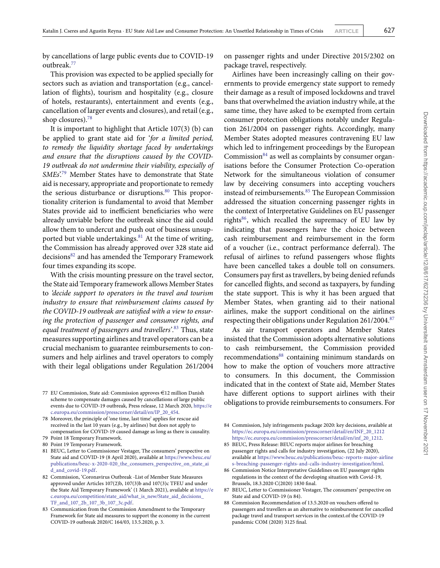by cancellations of large public events due to COVID-19 outbreak.[77](#page-11-0)

This provision was expected to be applied specially for sectors such as aviation and transportation (e.g., cancellation of flights), tourism and hospitality (e.g., closure of hotels, restaurants), entertainment and events (e.g., cancellation of larger events and closures), and retail (e.g., shop closures).[78](#page-11-1)

It is important to highlight that Article 107(3) (b) can be applied to grant state aid for '*for a limited period, to remedy the liquidity shortage faced by undertakings and ensure that the disruptions caused by the COVID-19 outbreak do not undermine their viability, especially of SMEs*'.[79](#page-11-2) Member States have to demonstrate that State aid is necessary, appropriate and proportionate to remedy the serious disturbance or disruptions.<sup>[80](#page-11-3)</sup> This proportionality criterion is fundamental to avoid that Member States provide aid to inefficient beneficiaries who were already unviable before the outbreak since the aid could allow them to undercut and push out of business unsup-ported but viable undertakings.<sup>[81](#page-11-4)</sup> At the time of writing, the Commission has already approved over 328 state aid decisions<sup>[82](#page-11-5)</sup> and has amended the Temporary Framework four times expanding its scope.

With the crisis mounting pressure on the travel sector, the State aid Temporary framework allows Member States to *'decide support to operators in the travel and tourism industry to ensure that reimbursement claims caused by the COVID-19 outbreak are satisfied with a view to ensuring the protection of passenger and consumer rights, and equal treatment of passengers and travellers'*. [83](#page-11-6) Thus, state measures supporting airlines and travel operators can be a crucial mechanism to guarantee reimbursements to consumers and help airlines and travel operators to comply with their legal obligations under Regulation 261/2004

<span id="page-11-0"></span>77 EU Commission, State aid: Commission approves €12 million Danish scheme to compensate damages caused by cancellations of large public events due to COVID-19 outbreak, Press release, 12 March 2020, [https://e](https://ec.europa.eu/commission/presscorner/detail/en/IP_20_454) [c.europa.eu/commission/presscorner/detail/en/IP\\_20\\_454.](https://ec.europa.eu/commission/presscorner/detail/en/IP_20_454)

- <span id="page-11-1"></span>78 Moreover, the principle of 'one time, last time' applies for rescue aid received in the last 10 years (e.g., by airlines) but does not apply to compensation for COVID-19 caused damage as long as there is causality.
- 79 Point 18 Temporary Framework.
- <span id="page-11-2"></span>80 Point 19 Temporary Framework.
- <span id="page-11-4"></span><span id="page-11-3"></span>81 BEUC, Letter to Commissioner Vestager, The consumers' perspective on State aid and COVID-19 (8 April 2020), available at [https://www.beuc.eu/](https://www.beuc.eu/publications/beuc-x-2020-020_the_consumers_perspective_on_state_aid_and_covid-19.pdf) [publications/beuc-x-2020-020\\_the\\_consumers\\_perspective\\_on\\_state\\_ai](https://www.beuc.eu/publications/beuc-x-2020-020_the_consumers_perspective_on_state_aid_and_covid-19.pdf) [d\\_and\\_covid-19.pdf.](https://www.beuc.eu/publications/beuc-x-2020-020_the_consumers_perspective_on_state_aid_and_covid-19.pdf)
- <span id="page-11-5"></span>82 Commission, 'Coronavirus Outbreak -List of Member State Measures approved under Articles 107(2)b, 107(3)b and 107(3)c TFEU and under the State Aid Temporary Framework' (1 March 2021), available at [https://e](https://ec.europa.eu/competition/state_aid/what_is_new/State_aid_decisions_TF_and_107_2b_107_3b_107_3c.pdf) [c.europa.eu/competition/state\\_aid/what\\_is\\_new/State\\_aid\\_decisions\\_](https://ec.europa.eu/competition/state_aid/what_is_new/State_aid_decisions_TF_and_107_2b_107_3b_107_3c.pdf) [TF\\_and\\_107\\_2b\\_107\\_3b\\_107\\_3c.pdf.](https://ec.europa.eu/competition/state_aid/what_is_new/State_aid_decisions_TF_and_107_2b_107_3b_107_3c.pdf)

on passenger rights and under Directive 2015/2302 on package travel, respectively.

Airlines have been increasingly calling on their governments to provide emergency state support to remedy their damage as a result of imposed lockdowns and travel bans that overwhelmed the aviation industry while, at the same time, they have asked to be exempted from certain consumer protection obligations notably under Regulation 261/2004 on passenger rights. Accordingly, many Member States adopted measures contravening EU law which led to infringement proceedings by the European Commission $84$  as well as complaints by consumer organisations before the Consumer Protection Co-operation Network for the simultaneous violation of consumer law by deceiving consumers into accepting vouchers instead of reimbursements.<sup>[85](#page-11-8)</sup> The European Commission addressed the situation concerning passenger rights in the context of Interpretative Guidelines on EU passenger rights $86$ , which recalled the supremacy of EU law by indicating that passengers have the choice between cash reimbursement and reimbursement in the form of a voucher (i.e., contract performance deferral). The refusal of airlines to refund passengers whose flights have been cancelled takes a double toll on consumers. Consumers pay first as travellers, by being denied refunds for cancelled flights, and second as taxpayers, by funding the state support. This is why it has been argued that Member States, when granting aid to their national airlines, make the support conditional on the airlines respecting their obligations under Regulation 261/2004.<sup>[87](#page-11-10)</sup>

As air transport operators and Member States insisted that the Commission adopts alternative solutions to cash reimbursement, the Commission provided recommendations<sup>[88](#page-11-11)</sup> containing minimum standards on how to make the option of vouchers more attractive to consumers. In this document, the Commission indicated that in the context of State aid, Member States have different options to support airlines with their obligations to provide reimbursements to consumers. For

- <span id="page-11-9"></span>86 Commission Notice Interpretative Guidelines on EU passenger rights regulations in the context of the developing situation with Covid-19, Brussels, 18.3.2020 C(2020) 1830 final.
- <span id="page-11-10"></span>87 BEUC, Letter to Commissioner Vestager, The consumers' perspective on State aid and COVID-19 (n 84).
- <span id="page-11-11"></span>88 Commission Recommendation of 13.5.2020 on vouchers offered to passengers and travellers as an alternative to reimbursement for cancelled package travel and transport services in the context.of the COVID-19 pandemic COM (2020) 3125 final.

<span id="page-11-6"></span><sup>83</sup> Communication from the Commission Amendment to the Temporary Framework for State aid measures to support the economy in the current COVID-19 outbreak 2020/C 164/03*,* 13.5.2020, p. 3.

<span id="page-11-7"></span><sup>84</sup> Commission, July infringements package 2020: key decisions, available at [https://ec.europa.eu/commission/presscorner/detail/en/INF\\_20\\_1212](https://ec.europa.eu/commission/presscorner/detail/en/INF_20_1212) [https://ec.europa.eu/commission/presscorner/detail/en/inf\\_20\\_1212.](https://ec.europa.eu/commission/presscorner/detail/en/inf_20_1212)

<span id="page-11-8"></span><sup>85</sup> BEUC, Press Release: BEUC reports major airlines for breaching passenger rights and calls for industry investigation, (22 July 2020), available at [https://www.beuc.eu/publications/beuc-reports-major-airline](https://www.beuc.eu/publications/beuc-reports-major-airlines-breaching-passenger-rights-and-calls-industry-investigation/html) [s-breaching-passenger-rights-and-calls-industry-investigation/html.](https://www.beuc.eu/publications/beuc-reports-major-airlines-breaching-passenger-rights-and-calls-industry-investigation/html)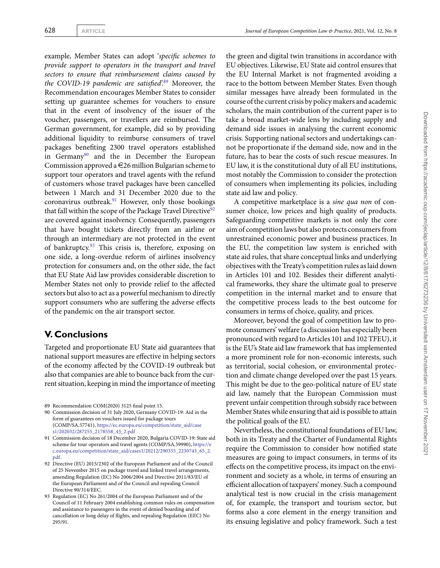example, Member States can adopt '*specific schemes to provide support to operators in the transport and travel sectors to ensure that reimbursement claims caused by the COVID-19 pandemic are satisfied*'.[89](#page-12-0) Moreover, the Recommendation encourages Member States to consider setting up guarantee schemes for vouchers to ensure that in the event of insolvency of the issuer of the voucher, passengers, or travellers are reimbursed. The German government, for example, did so by providing additional liquidity to reimburse consumers of travel packages benefiting 2300 travel operators established in Germany<sup>[90](#page-12-1)</sup> and the in December the European Commission approved a  $\in$  26 million Bulgarian scheme to support tour operators and travel agents with the refund of customers whose travel packages have been cancelled between 1 March and 31 December 2020 due to the coronavirus outbreak.<sup>[91](#page-12-2)</sup> However, only those bookings that fall within the scope of the Package Travel Directive<sup>[92](#page-12-3)</sup> are covered against insolvency. Consequently, passengers that have bought tickets directly from an airline or through an intermediary are not protected in the event of bankruptcy. $93$  This crisis is, therefore, exposing on one side, a long-overdue reform of airlines insolvency protection for consumers and, on the other side, the fact that EU State Aid law provides considerable discretion to Member States not only to provide relief to the affected sectors but also to act as a powerful mechanism to directly support consumers who are suffering the adverse effects of the pandemic on the air transport sector.

## **V. Conclusions**

Targeted and proportionate EU State aid guarantees that national support measures are effective in helping sectors of the economy affected by the COVID-19 outbreak but also that companies are able to bounce back from the current situation, keeping in mind the importance of meeting

89 Recommendation COM(2020) 3125 final point 15.

- <span id="page-12-1"></span><span id="page-12-0"></span>90 Commission decision of 31 July 2020, Germany COVID-19: Aid in the form of guarantees on vouchers issued for package tours (COMP/SA.57741), [https://ec.europa.eu/competition/state\\_aid/case](https://ec.europa.eu/competition/state_aid/cases1/202032/287255_2178558_45_2.pdf) [s1/202032/287255\\_2178558\\_45\\_2.pdf](https://ec.europa.eu/competition/state_aid/cases1/202032/287255_2178558_45_2.pdf)
- <span id="page-12-2"></span>91 Commission decision of 18 December 2020, Bulgaria COVID-19: State aid scheme for tour operators and travel agents (COMP/SA.59990), [https://e](https://ec.europa.eu/competition/state_aid/cases1/20212/290355_2230743_65_2.pdf) [c.europa.eu/competition/state\\_aid/cases1/20212/290355\\_2230743\\_65\\_2.](https://ec.europa.eu/competition/state_aid/cases1/20212/290355_2230743_65_2.pdf) [pdf.](https://ec.europa.eu/competition/state_aid/cases1/20212/290355_2230743_65_2.pdf)
- <span id="page-12-3"></span>92 Directive (EU) 2015/2302 of the European Parliament and of the Council of 25 November 2015 on package travel and linked travel arrangements, amending Regulation (EC) No 2006/2004 and Directive 2011/83/EU of the European Parliament and of the Council and repealing Council Directive 90/314/EEC.
- <span id="page-12-4"></span>93 Regulation (EC) No 261/2004 of the European Parliament and of the Council of 11 February 2004 establishing common rules on compensation and assistance to passengers in the event of denied boarding and of cancellation or long delay of flights, and repealing Regulation (EEC) No 295/91.

the green and digital twin transitions in accordance with EU objectives. Likewise, EU State aid control ensures that the EU Internal Market is not fragmented avoiding a race to the bottom between Member States. Even though similar messages have already been formulated in the course of the current crisis by policy makers and academic scholars, the main contribution of the current paper is to take a broad market-wide lens by including supply and demand side issues in analysing the current economic crisis. Supporting national sectors and undertakings cannot be proportionate if the demand side, now and in the future, has to bear the costs of such rescue measures. In EU law, it is the constitutional duty of all EU institutions, most notably the Commission to consider the protection of consumers when implementing its policies, including state aid law and policy.

A competitive marketplace is a *sine qua non* of consumer choice, low prices and high quality of products. Safeguarding competitive markets is not only the core aim of competition laws but also protects consumers from unrestrained economic power and business practices. In the EU, the competition law system is enriched with state aid rules, that share conceptual links and underlying objectives with the Treaty's competition rules as laid down in Articles 101 and 102. Besides their different analytical frameworks, they share the ultimate goal to preserve competition in the internal market and to ensure that the competitive process leads to the best outcome for consumers in terms of choice, quality, and prices.

Moreover, beyond the goal of competition law to promote consumers' welfare (a discussion has especially been pronounced with regard to Articles 101 and 102 TFEU), it is the EU's State aid law framework that has implemented a more prominent role for non-economic interests, such as territorial, social cohesion, or environmental protection and climate change developed over the past 15 years. This might be due to the geo-political nature of EU state aid law, namely that the European Commission must prevent unfair competition through subsidy race between Member States while ensuring that aid is possible to attain the political goals of the EU.

Nevertheless, the constitutional foundations of EU law, both in its Treaty and the Charter of Fundamental Rights require the Commission to consider how notified state measures are going to impact consumers, in terms of its effects on the competitive process, its impact on the environment and society as a whole, in terms of ensuring an efficient allocation of taxpayers' money. Such a compound analytical test is now crucial in the crisis management of, for example, the transport and tourism sector, but forms also a core element in the energy transition and its ensuing legislative and policy framework. Such a test